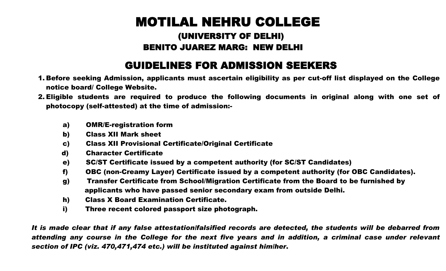## MOTILAL NEHRU COLLEGE

## (UNIVERSITY OF DELHI) BENITO JUAREZ MARG: NEW DELHI

## GUIDELINES FOR ADMISSION SEEKERS

- 1. Before seeking Admission, applicants must ascertain eligibility as per cut-off list displayed on the College notice board/ College Website.
- 2. Eligible students are required to produce the following documents in original along with one set of photocopy (self-attested) at the time of admission:
	- a) OMR/E-registration form
	- b) Class XII Mark sheet
	- c) Class XII Provisional Certificate/Original Certificate
	- d) Character Certificate
	- e) SC/ST Certificate issued by a competent authority (for SC/ST Candidates)
	- f) OBC (non-Creamy Layer) Certificate issued by a competent authority (for OBC Candidates).
	- g) Transfer Certificate from School/Migration Certificate from the Board to be furnished by applicants who have passed senior secondary exam from outside Delhi.
	- h) Class X Board Examination Certificate.
	- i) Three recent colored passport size photograph.

*It is made clear that if any false attestation/falsified records are detected, the students will be debarred from attending any course in the College for the next five years and in addition, a criminal case under relevant section of IPC (viz. 470,471,474 etc.) will be instituted against him/her*.